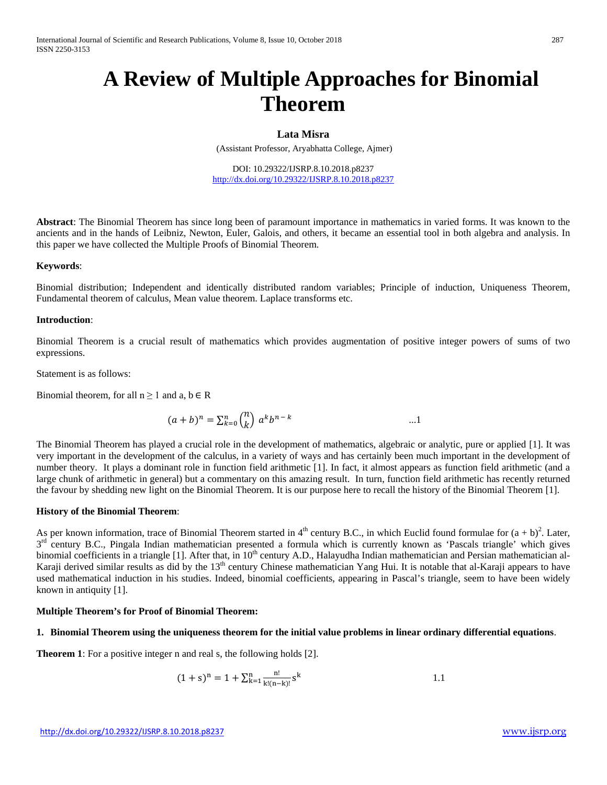# **A Review of Multiple Approaches for Binomial Theorem**

### **Lata Misra**

(Assistant Professor, Aryabhatta College, Ajmer)

DOI: 10.29322/IJSRP.8.10.2018.p8237 <http://dx.doi.org/10.29322/IJSRP.8.10.2018.p8237>

**Abstract**: The Binomial Theorem has since long been of paramount importance in mathematics in varied forms. It was known to the ancients and in the hands of Leibniz, Newton, Euler, Galois, and others, it became an essential tool in both algebra and analysis. In this paper we have collected the Multiple Proofs of Binomial Theorem.

#### **Keywords**:

Binomial distribution; Independent and identically distributed random variables; Principle of induction, Uniqueness Theorem, Fundamental theorem of calculus, Mean value theorem. Laplace transforms etc.

#### **Introduction**:

Binomial Theorem is a crucial result of mathematics which provides augmentation of positive integer powers of sums of two expressions.

Statement is as follows:

Binomial theorem, for all  $n \ge 1$  and a,  $b \in R$ 

$$
(a+b)^n = \sum_{k=0}^n {n \choose k} a^k b^{n-k}
$$
 ...1

The Binomial Theorem has played a crucial role in the development of mathematics, algebraic or analytic, pure or applied [1]. It was very important in the development of the calculus, in a variety of ways and has certainly been much important in the development of number theory. It plays a dominant role in function field arithmetic [1]. In fact, it almost appears as function field arithmetic (and a large chunk of arithmetic in general) but a commentary on this amazing result. In turn, function field arithmetic has recently returned the favour by shedding new light on the Binomial Theorem. It is our purpose here to recall the history of the Binomial Theorem [1].

## **History of the Binomial Theorem**:

As per known information, trace of Binomial Theorem started in  $4<sup>th</sup>$  century B.C., in which Euclid found formulae for  $(a + b)^2$ . Later,  $3<sup>rd</sup>$  century B.C., Pingala Indian mathematician presented a formula which is currently known as 'Pascals triangle' which gives binomial coefficients in a triangle [1]. After that, in 10<sup>th</sup> century A.D., Halayudha Indian mathematician and Persian mathematician al-Karaji derived similar results as did by the 13<sup>th</sup> century Chinese mathematician Yang Hui. It is notable that al-Karaji appears to have used mathematical induction in his studies. Indeed, binomial coefficients, appearing in Pascal's triangle, seem to have been widely known in antiquity [1].

### **Multiple Theorem's for Proof of Binomial Theorem:**

### **1. Binomial Theorem using the uniqueness theorem for the initial value problems in linear ordinary differential equations**.

**Theorem 1**: For a positive integer n and real s, the following holds [2].

$$
(1+s)^n = 1 + \sum_{k=1}^n \frac{n!}{k!(n-k)!} s^k
$$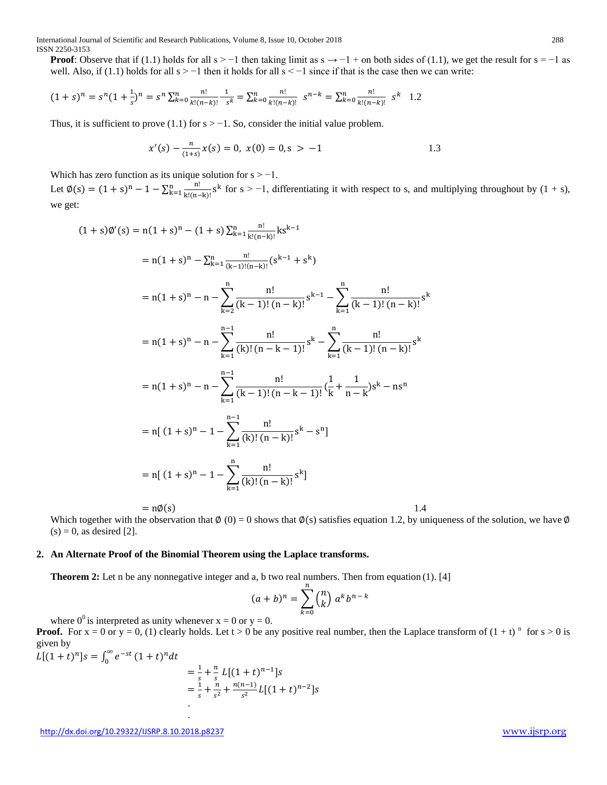International Journal of Scientific and Research Publications, Volume 8, Issue 10, October 2018 288 ISSN 2250-3153

**Proof**: Observe that if (1.1) holds for all s > −1 then taking limit as s  $\rightarrow$  −1 + on both sides of (1.1), we get the result for s = −1 as well. Also, if (1.1) holds for all  $s > -1$  then it holds for all  $s < -1$  since if that is the case then we can write:

$$
(1+s)^n = s^n (1+\frac{1}{s})^n = s^n \sum_{k=0}^n \frac{n!}{k!(n-k)!} - \frac{1}{s^k} = \sum_{k=0}^n \frac{n!}{k!(n-k)!} - s^{n-k} = \sum_{k=0}^n \frac{n!}{k!(n-k)!} - s^k - 1.2
$$

Thus, it is sufficient to prove (1.1) for  $s > -1$ . So, consider the initial value problem.

$$
x'(s) - \frac{n}{(1+s)}x(s) = 0, \ x(0) = 0, s > -1
$$

Which has zero function as its unique solution for  $s > -1$ .

Let  $\emptyset(s) = (1 + s)^n - 1 - \sum_{k=1}^n \frac{n!}{k!(n-k)!}$  $\sum_{k=1}^{n} \frac{m}{k!(n-k)!} s^k$  for s > -1, differentiating it with respect to s, and multiplying throughout by  $(1 + s)$ , we get:

$$
(1+s)\emptyset'(s) = n(1+s)^n - (1+s)\sum_{k=1}^n \frac{n!}{k!(n-k)!}ks^{k-1}
$$
  
\n
$$
= n(1+s)^n - \sum_{k=1}^n \frac{n!}{(k-1)!(n-k)!} (s^{k-1} + s^k)
$$
  
\n
$$
= n(1+s)^n - n - \sum_{k=2}^n \frac{n!}{(k-1)!(n-k)!} s^{k-1} - \sum_{k=1}^n \frac{n!}{(k-1)!(n-k)!} s^k
$$
  
\n
$$
= n(1+s)^n - n - \sum_{k=1}^{n-1} \frac{n!}{(k)!(n-k-1)!} s^k - \sum_{k=1}^n \frac{n!}{(k-1)!(n-k)!} s^k
$$
  
\n
$$
= n(1+s)^n - n - \sum_{k=1}^{n-1} \frac{n!}{(k-1)!(n-k-1)!} (\frac{1}{k} + \frac{1}{n-k})s^k - ns^n
$$
  
\n
$$
= n[(1+s)^n - 1 - \sum_{k=1}^{n-1} \frac{n!}{(k)!(n-k)!} s^k - s^n]
$$
  
\n
$$
= n[(1+s)^n - 1 - \sum_{k=1}^n \frac{n!}{(k)!(n-k)!} s^k]
$$
  
\n
$$
= n\emptyset(s)
$$
  
\n1.4  
\n1.4

Which together with the observation that  $\phi(0) = 0$  shows that  $\phi(s)$  satisfies equation 1.2, by uniqueness of the solution, we have  $\phi$  $(s) = 0$ , as desired [2].

#### **2. An Alternate Proof of the Binomial Theorem using the Laplace transforms.**

.

**Theorem 2:** Let n be any nonnegative integer and a, b two real numbers. Then from equation (1). [4]

$$
(a+b)^n = \sum_{k=0}^n {n \choose k} a^k b^{n-k}
$$

where  $0^0$  is interpreted as unity whenever  $x = 0$  or  $y = 0$ .

**Proof.** For  $x = 0$  or  $y = 0$ , (1) clearly holds. Let  $t > 0$  be any positive real number, then the Laplace transform of  $(1 + t)^n$  for  $s > 0$  is given by

 $L[(1 + t)^n]s = \int_0^\infty e^{-st} (1 + t)^n dt$ 

$$
= \frac{1}{s} + \frac{n}{s} L[(1+t)^{n-1}]s
$$
  
=  $\frac{1}{s} + \frac{n}{s^2} + \frac{n(n-1)}{s^2} L[(1+t)^{n-2}]s$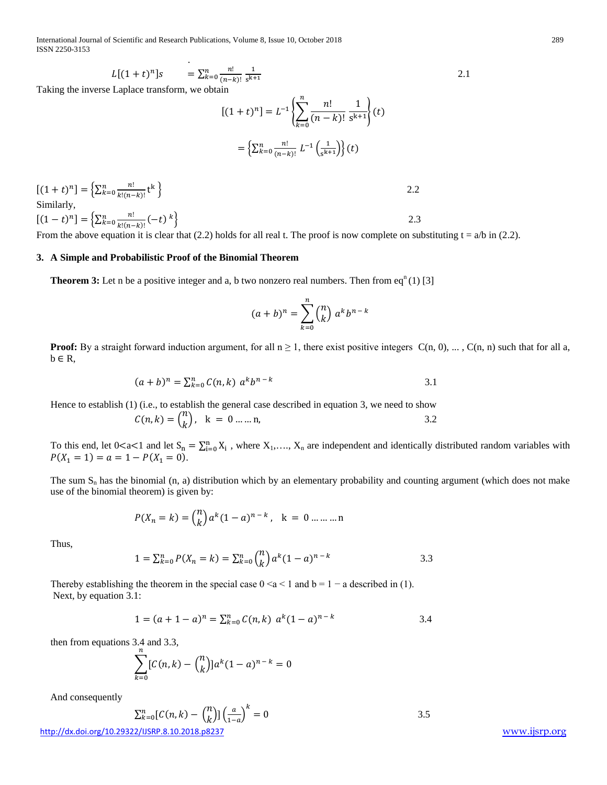International Journal of Scientific and Research Publications, Volume 8, Issue 10, October 2018 289 ISSN 2250-3153

$$
L[(1+t)^{n}]s = \sum_{k=0}^{n} \frac{n!}{(n-k)!} \frac{1}{s^{k+1}}
$$

Taking the inverse Laplace transform, we obtain

$$
[(1+t)^n] = L^{-1} \left\{ \sum_{k=0}^n \frac{n!}{(n-k)!} \frac{1}{s^{k+1}} \right\} (t)
$$

$$
= \left\{ \sum_{k=0}^n \frac{n!}{(n-k)!} L^{-1} \left( \frac{1}{s^{k+1}} \right) \right\} (t)
$$

$$
[(1+t)^n] = \left\{ \sum_{k=0}^n \frac{n!}{k!(n-k)!} t^k \right\}
$$
2.2  
Similarly,
$$
[(1-t)^n] = \left\{ \sum_{k=0}^n \frac{n!}{k!(n-k)!} (-t)^k \right\}
$$
2.3

Similarly,

 $[(1-t)^n] = \left\{ \sum_{k=0}^n \frac{n!}{k!(n-k)!} (-t)^k \right\}$  2.3 From the above equation it is clear that (2.2) holds for all real t. The proof is now complete on substituting  $t = a/b$  in (2.2).

#### **3. A Simple and Probabilistic Proof of the Binomial Theorem**

**Theorem 3:** Let n be a positive integer and a, b two nonzero real numbers. Then from  $eq^n(1)$  [3]

$$
(a+b)^n = \sum_{k=0}^n {n \choose k} a^k b^{n-k}
$$

**Proof:** By a straight forward induction argument, for all  $n \ge 1$ , there exist positive integers  $C(n, 0)$ , ...,  $C(n, n)$  such that for all a,  $b \in R$ ,

$$
(a+b)^n = \sum_{k=0}^n C(n,k) \ a^k b^{n-k}
$$

Hence to establish (1) (i.e., to establish the general case described in equation 3, we need to show

$$
C(n,k) = {n \choose k}, \quad k = 0 \dots n,
$$

To this end, let  $0 < a < 1$  and let  $S_n = \sum_{i=0}^n X_i$ , where  $X_1, \ldots, X_n$  are independent and identically distributed random variables with  $P(X_1 = 1) = a = 1 - P(X_1 = 0).$ 

The sum  $S_n$  has the binomial (n, a) distribution which by an elementary probability and counting argument (which does not make use of the binomial theorem) is given by:

$$
P(X_n = k) = {n \choose k} a^k (1 - a)^{n - k}, \quad k = 0 \dots \dots n
$$

Thus,

$$
1 = \sum_{k=0}^{n} P(X_n = k) = \sum_{k=0}^{n} {n \choose k} a^k (1 - a)^{n-k}
$$
 3.3

Thereby establishing the theorem in the special case  $0 \le a \le 1$  and  $b = 1 - a$  described in (1). Next, by equation 3.1:

$$
1 = (a + 1 - a)^n = \sum_{k=0}^n C(n, k) \ a^k (1 - a)^{n-k}
$$

then from equations 3.4 and 3.3,

$$
\sum_{k=0}^{n} [C(n,k) - {n \choose k}] a^{k} (1-a)^{n-k} = 0
$$

And consequently

$$
\sum_{k=0}^{n} [C(n,k) - {n \choose k}] \left(\frac{a}{1-a}\right)^k = 0
$$

<http://dx.doi.org/10.29322/IJSRP.8.10.2018.p8237>[www.ijsrp.org](http://ijsrp.org/)

 $\frac{2}{k}$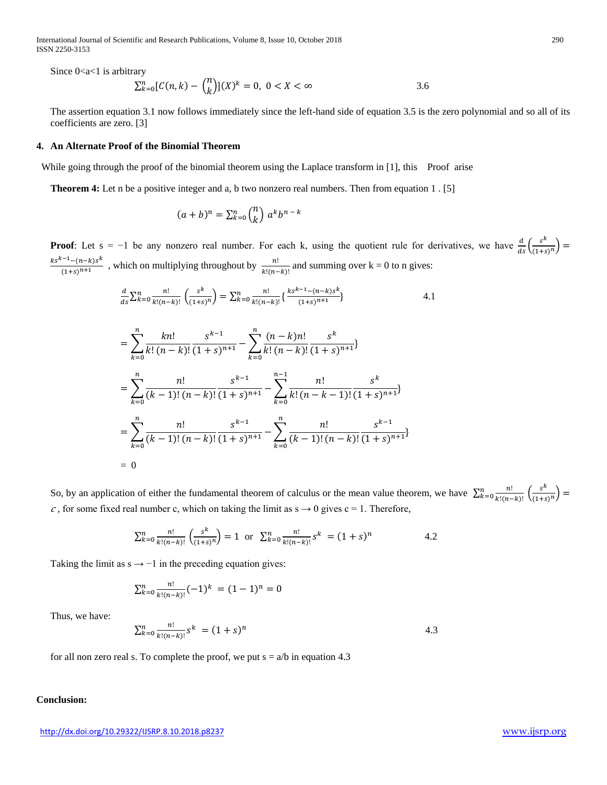International Journal of Scientific and Research Publications, Volume 8, Issue 10, October 2018 290 ISSN 2250-3153

Since  $0 < a < 1$  is arbitrary

$$
\sum_{k=0}^{n} [C(n,k) - {n \choose k}] (X)^{k} = 0, \ 0 < X < \infty
$$

The assertion equation 3.1 now follows immediately since the left-hand side of equation 3.5 is the zero polynomial and so all of its coefficients are zero. [3]

### **4. An Alternate Proof of the Binomial Theorem**

While going through the proof of the binomial theorem using the Laplace transform in [1], this Proof arise

**Theorem 4:** Let n be a positive integer and a, b two nonzero real numbers. Then from equation 1 . [5]

$$
(a+b)^n = \sum_{k=0}^n {n \choose k} a^k b^{n-k}
$$

**Proof**: Let  $s = -1$  be any nonzero real number. For each k, using the quotient rule for derivatives, we have  $\frac{d}{ds} \left( \frac{s^k}{(1+s)^n} \right) =$  $\frac{k s^{k-1}-(n-k)s^k}{(1+s)^{n+1}}$ , which on multiplying throughout by  $\frac{n!}{k!(n-k)!}$  and summing over k = 0 to n gives:

$$
\frac{d}{ds} \sum_{k=0}^{n} \frac{n!}{k!(n-k)!} \left( \frac{s^k}{(1+s)^n} \right) = \sum_{k=0}^{n} \frac{n!}{k!(n-k)!} \left\{ \frac{ks^{k-1} - (n-k)s^k}{(1+s)^{n+1}} \right\}
$$
4.1

$$
= \sum_{k=0}^{n} \frac{k n!}{k! (n-k)!} \frac{s^{k-1}}{(1+s)^{n+1}} - \sum_{k=0}^{n} \frac{(n-k)n!}{k! (n-k)!} \frac{s^k}{(1+s)^{n+1}} \n= \sum_{k=0}^{n} \frac{n!}{(k-1)! (n-k)!} \frac{s^{k-1}}{(1+s)^{n+1}} - \sum_{k=0}^{n-1} \frac{n!}{k! (n-k-1)!} \frac{s^k}{(1+s)^{n+1}} \n= \sum_{k=0}^{n} \frac{n!}{(k-1)! (n-k)!} \frac{s^{k-1}}{(1+s)^{n+1}} - \sum_{k=0}^{n} \frac{n!}{(k-1)! (n-k)!} \frac{s^{k-1}}{(1+s)^{n+1}} \n= 0
$$

So, by an application of either the fundamental theorem of calculus or the mean value theorem, we have  $\sum_{k=0}^{n} \frac{n!}{k!(n-k)!} \left( \frac{s^k}{(1+s)^n} \right)$ c, for some fixed real number c, which on taking the limit as  $s \rightarrow 0$  gives  $c = 1$ . Therefore,

$$
\sum_{k=0}^{n} \frac{n!}{k!(n-k)!} \left( \frac{s^k}{(1+s)^n} \right) = 1 \text{ or } \sum_{k=0}^{n} \frac{n!}{k!(n-k)!} s^k = (1+s)^n \tag{4.2}
$$

Taking the limit as  $s \rightarrow -1$  in the preceding equation gives:

$$
\sum_{k=0}^{n} \frac{n!}{k! (n-k)!} (-1)^k = (1-1)^n = 0
$$

Thus, we have:

$$
\sum_{k=0}^{n} \frac{n!}{k!(n-k)!} s^k = (1+s)^n \tag{4.3}
$$

for all non zero real s. To complete the proof, we put  $s = a/b$  in equation 4.3

## **Conclusion:**